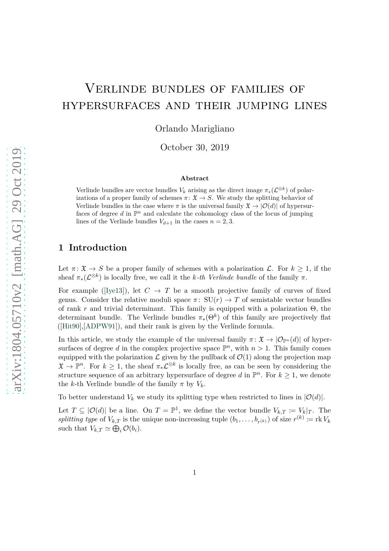# Verlinde bundles of families of hypersurfaces and their jumping lines

Orlando Marigliano

October 30, 2019

#### **Abstract**

Verlinde bundles are vector bundles  $V_k$  arising as the direct image  $\pi_*(\mathcal{L}^{\otimes k})$  of polarizations of a proper family of schemes  $\pi: \mathfrak{X} \to S$ . We study the splitting behavior of Verlinde bundles in the case where  $\pi$  is the universal family  $\mathfrak{X} \to |\mathcal{O}(d)|$  of hypersurfaces of degree  $d$  in  $\mathbb{P}^n$  and calculate the cohomology class of the locus of jumping lines of the Verlinde bundles  $V_{d+1}$  in the cases  $n = 2, 3$ .

## **1 Introduction**

Let  $\pi: \mathfrak{X} \to S$  be a proper family of schemes with a polarization  $\mathcal{L}$ . For  $k \geq 1$ , if the sheaf  $\pi_*(\mathcal{L}^{\otimes k})$  is locally free, we call it the *k-th Verlinde bundle* of the family  $\pi$ .

For example ([\[Iye13\]](#page-7-0)), let  $C \rightarrow T$  be a smooth projective family of curves of fixed genus. Consider the relative moduli space  $\pi$ : SU( $r$ )  $\rightarrow$  T of semistable vector bundles of rank *r* and trivial determinant. This family is equipped with a polarization Θ, the determinant bundle. The Verlinde bundles *π*∗(Θ*<sup>k</sup>* ) of this family are projectively flat ([\[Hit90\]](#page-7-1),[\[ADPW91\]](#page-7-2)), and their rank is given by the Verlinde formula.

In this article, we study the example of the universal family  $\pi: \mathfrak{X} \to |\mathcal{O}_{\mathbb{P}^n}(d)|$  of hypersurfaces of degree d in the complex projective space  $\mathbb{P}^n$ , with  $n > 1$ . This family comes equipped with the polarization  $\mathcal L$  given by the pullback of  $\mathcal O(1)$  along the projection map  $\mathfrak{X} \to \mathbb{P}^n$ . For  $k \geq 1$ , the sheaf  $\pi_* \mathcal{L}^{\otimes k}$  is locally free, as can be seen by considering the structure sequence of an arbitrary hypersurface of degree d in  $\mathbb{P}^n$ . For  $k \geq 1$ , we denote the *k*-th Verlinde bundle of the family  $\pi$  by  $V_k$ .

To better understand  $V_k$  we study its splitting type when restricted to lines in  $|O(d)|$ .

Let  $T \subseteq |O(d)|$  be a line. On  $T = \mathbb{P}^1$ , we define the vector bundle  $V_{k,T} := V_k|_T$ . The splitting type of  $V_{k,T}$  is the unique non-increasing tuple  $(b_1, \ldots, b_{r(k)})$  of size  $r^{(k)} \coloneqq \text{rk } V_k$ such that  $V_{k,T} \simeq \bigoplus_i \mathcal{O}(b_i)$ .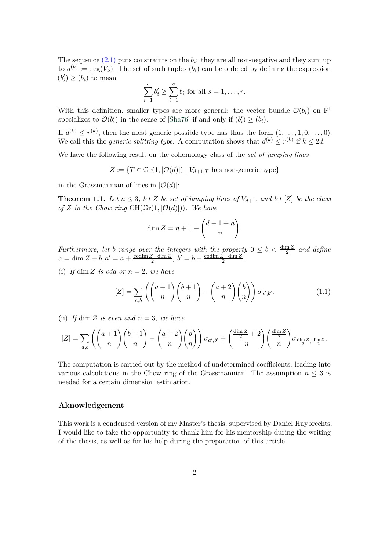The sequence  $(2.1)$  puts constraints on the  $b_i$ : they are all non-negative and they sum up to  $d^{(k)} \coloneqq \deg(V_k)$ . The set of such tuples  $(b_i)$  can be ordered by defining the expression  $(b'_i) \ge (b_i)$  to mean

$$
\sum_{i=1}^{s} b'_i \ge \sum_{i=1}^{s} b_i \text{ for all } s = 1, \dots, r.
$$

With this definition, smaller types are more general: the vector bundle  $\mathcal{O}(b_i)$  on  $\mathbb{P}^1$ specializes to  $\mathcal{O}(b_i')$  in the sense of [\[Sha76\]](#page-7-3) if and only if  $(b_i') \geq (b_i)$ *.* 

If  $d^{(k)} \leq r^{(k)}$ , then the most generic possible type has thus the form  $(1, \ldots, 1, 0, \ldots, 0)$ . We call this the *generic splitting type*. A computation shows that  $d^{(k)} \leq r^{(k)}$  if  $k \leq 2d$ .

We have the following result on the cohomology class of the *set of jumping lines*

 $Z \coloneqq \{T \in \mathbb{G}r(1, |\mathcal{O}(d)|) \mid V_{d+1,T} \text{ has non-generic type}\}$ 

<span id="page-1-0"></span>in the Grassmannian of lines in  $|O(d)|$ :

**Theorem 1.1.** Let  $n \leq 3$ , let Z be set of jumping lines of  $V_{d+1}$ , and let  $[Z]$  be the class *of Z* in the Chow ring  $CH(\mathbb{G}_r(1, |\mathcal{O}(d)|))$ *. We have* 

$$
\dim Z = n + 1 + \binom{d-1+n}{n}.
$$

*Furthermore, let b range over the integers with the property*  $0 \leq b < \frac{\dim Z}{2}$  *and define*  $a = \dim Z - b, a' = a + \frac{\operatorname{codim} Z - \dim Z}{2}$  $\frac{Z-\dim Z}{2}$ ,  $b'=b+\frac{\operatorname{codim} Z-\dim Z}{2}$  $\frac{z-\dim Z}{2}$ .

(i) *If* dim *Z is odd or*  $n = 2$ *, we have* 

<span id="page-1-1"></span>
$$
[Z] = \sum_{a,b} \left( \binom{a+1}{n} \binom{b+1}{n} - \binom{a+2}{n} \binom{b}{n} \right) \sigma_{a',b'}.
$$
 (1.1)

(ii) *If* dim *Z is even and*  $n = 3$ *, we have* 

$$
[Z] = \sum_{a,b} \left( \binom{a+1}{n} \binom{b+1}{n} - \binom{a+2}{n} \binom{b}{n} \right) \sigma_{a',b'} + \binom{\frac{\dim Z}{2} + 2}{n} \binom{\frac{\dim Z}{2}}{n} \sigma_{\frac{\dim Z}{2},\frac{\dim Z}{2}}.
$$

The computation is carried out by the method of undetermined coefficients, leading into various calculations in the Chow ring of the Grassmannian. The assumption  $n \leq 3$  is needed for a certain dimension estimation.

#### **Aknowledgement**

This work is a condensed version of my Master's thesis, supervised by Daniel Huybrechts. I would like to take the opportunity to thank him for his mentorship during the writing of the thesis, as well as for his help during the preparation of this article.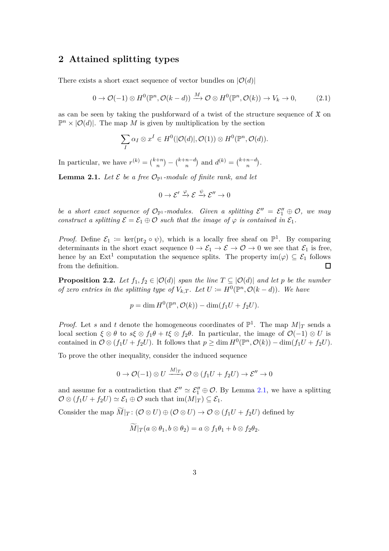## **2 Attained splitting types**

There exists a short exact sequence of vector bundles on  $|\mathcal{O}(d)|$ 

<span id="page-2-0"></span>
$$
0 \to \mathcal{O}(-1) \otimes H^0(\mathbb{P}^n, \mathcal{O}(k-d)) \xrightarrow{M} \mathcal{O} \otimes H^0(\mathbb{P}^n, \mathcal{O}(k)) \to V_k \to 0,
$$
 (2.1)

as can be seen by taking the pushforward of a twist of the structure sequence of  $\mathfrak X$  on  $\mathbb{P}^n \times |O(d)|$ . The map *M* is given by multiplication by the section

$$
\sum_{I} \alpha_I \otimes x^I \in H^0(|\mathcal{O}(d)|, \mathcal{O}(1)) \otimes H^0(\mathbb{P}^n, \mathcal{O}(d)).
$$

<span id="page-2-1"></span>In particular, we have  $r^{(k)} = \binom{k+n}{n}$  $\binom{+n}{n} - \binom{k+n-d}{n}$  $\binom{n}{n}$  and  $d^{(k)} = \binom{k+n-d}{n}$  $\binom{n-d}{n}$ .

**Lemma 2.1.** Let  $\mathcal{E}$  be a free  $\mathcal{O}_{\mathbb{P}^1}$ -module of finite rank, and let

$$
0 \to \mathcal{E}' \xrightarrow{\varphi} \mathcal{E} \xrightarrow{\psi} \mathcal{E}'' \to 0
$$

*be a short exact sequence of*  $\mathcal{O}_{\mathbb{P}^1}$ *-modules. Given a splitting*  $\mathcal{E}'' = \mathcal{E}'_1 \oplus \mathcal{O}$ *, we may construct a splitting*  $\mathcal{E} = \mathcal{E}_1 \oplus \mathcal{O}$  *such that the image of*  $\varphi$  *is contained in*  $\mathcal{E}_1$ *.* 

*Proof.* Define  $\mathcal{E}_1 := \ker(\text{pr}_2 \circ \psi)$ , which is a locally free sheaf on  $\mathbb{P}^1$ . By comparing determinants in the short exact sequence  $0 \to \mathcal{E}_1 \to \mathcal{E} \to \mathcal{O} \to 0$  we see that  $\mathcal{E}_1$  is free, hence by an  $Ext^1$  computation the sequence splits. The property  $im(\varphi) \subseteq \mathcal{E}_1$  follows from the definition.  $\Box$ 

<span id="page-2-2"></span>**Proposition 2.2.** Let  $f_1, f_2 \in |O(d)|$  span the line  $T \subseteq |O(d)|$  and let p be the number *of zero entries in the splitting type of*  $V_{k,T}$ . Let  $U := H^0(\mathbb{P}^n, \mathcal{O}(k-d))$ . We have

$$
p = \dim H^0(\mathbb{P}^n, \mathcal{O}(k)) - \dim(f_1U + f_2U).
$$

*Proof.* Let *s* and *t* denote the homogeneous coordinates of  $\mathbb{P}^1$ . The map  $M|_T$  sends a local section  $\xi \otimes \theta$  to  $s\xi \otimes f_1\theta + t\xi \otimes f_2\theta$ . In particular, the image of  $\mathcal{O}(-1) \otimes U$  is contained in  $\mathcal{O} \otimes (f_1U + f_2U)$ . It follows that  $p \ge \dim H^0(\mathbb{P}^n, \mathcal{O}(k)) - \dim(f_1U + f_2U)$ .

To prove the other inequality, consider the induced sequence

$$
0 \to {\mathcal O}(-1) \otimes U \xrightarrow{M|_T} {\mathcal O} \otimes (f_1U+f_2U) \to {\mathcal E}'' \to 0
$$

and assume for a contradiction that  $\mathcal{E}'' \simeq \mathcal{E}_1'' \oplus \mathcal{O}$ . By Lemma [2.1,](#page-2-1) we have a splitting  $\mathcal{O} \otimes (f_1 U + f_2 U) \simeq \mathcal{E}_1 \oplus \mathcal{O}$  such that  $\text{im}(M|_T) \subseteq \mathcal{E}_1$ .

Consider the map  $\widetilde{M}|_T : (\mathcal{O} \otimes U) \oplus (\mathcal{O} \otimes U) \to \mathcal{O} \otimes (f_1U + f_2U)$  defined by

$$
M|_{T}(a\otimes \theta_1,b\otimes \theta_2)=a\otimes f_1\theta_1+b\otimes f_2\theta_2.
$$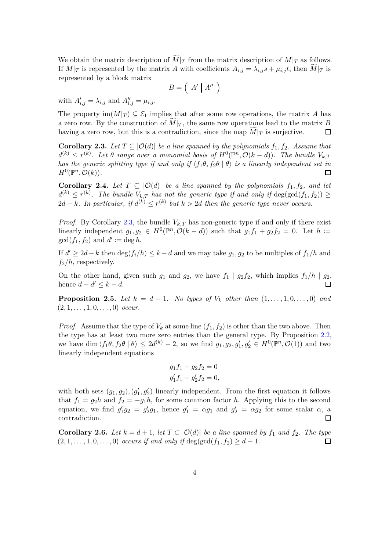We obtain the matrix description of  $M|_T$  from the matrix description of  $M|_T$  as follows. If  $M|_T$  is represented by the matrix *A* with coefficients  $A_{i,j} = \lambda_{i,j} s + \mu_{i,j} t$ , then  $M|_T$  is represented by a block matrix

$$
B=\left(\begin{array}{c|c}A' & A''\end{array}\right)
$$

with  $A'_{i,j} = \lambda_{i,j}$  and  $A''_{i,j} = \mu_{i,j}$ .

The property  $\text{im}(M|_T) \subseteq \mathcal{E}_1$  implies that after some row operations, the matrix *A* has a zero row. By the construction of  $M|_T$ , the same row operations lead to the matrix *B* having a zero row, but this is a contradiction, since the map  $M|_T$  is surjective.  $\Box$ 

<span id="page-3-0"></span>**Corollary 2.3.** Let  $T \subseteq |O(d)|$  be a line spanned by the polynomials  $f_1, f_2$ . Assume that  $d^{(k)} \leq r^{(k)}$ . Let  $\theta$  range over a monomial basis of  $H^0(\mathbb{P}^n, \mathcal{O}(k-d))$ . The bundle  $V_{k,T}$ *has the generic splitting type if and only if*  $\langle f_1 \theta, f_2 \theta | \theta \rangle$  *is a linearly independent set in*  $H^0(\mathbb{P}^n, \mathcal{O}(k)).$  $\Box$ 

**Corollary 2.4.** Let  $T \subseteq |O(d)|$  be a line spanned by the polynomials  $f_1, f_2,$  and let  $d^{(k)} \leq r^{(k)}$ . The bundle  $V_{k,T}$  has not the generic type if and only if  $\deg(\gcd(f_1, f_2)) \geq$  $2d - k$ *. In particular, if*  $d^{(k)} \leq r^{(k)}$  *but*  $k > 2d$  *then the generic type never occurs.* 

*Proof.* By Corollary [2.3,](#page-3-0) the bundle  $V_{k,T}$  has non-generic type if and only if there exist linearly independent  $g_1, g_2 \in H^0(\mathbb{P}^n, \mathcal{O}(k-d))$  such that  $g_1 f_1 + g_2 f_2 = 0$ . Let  $h :=$  $gcd(f_1, f_2)$  and  $d' \coloneqq deg h$ .

If  $d' \geq 2d - k$  then  $\deg(f_i/h) \leq k - d$  and we may take  $g_1, g_2$  to be multiples of  $f_1/h$  and *f*2*/h*, respectively.

On the other hand, given such  $g_1$  and  $g_2$ , we have  $f_1 | g_2 f_2$ , which implies  $f_1/h | g_2$ , hence  $d - d' \leq k - d$ .  $\Box$ 

**Proposition 2.5.** *Let*  $k = d + 1$ *. No types of*  $V_k$  *other than*  $(1, \ldots, 1, 0, \ldots, 0)$  *and*  $(2, 1, \ldots, 1, 0, \ldots, 0)$  *occur.* 

*Proof.* Assume that the type of  $V_k$  at some line  $(f_1, f_2)$  is other than the two above. Then the type has at least two more zero entries than the general type. By Proposition [2.2,](#page-2-2) we have dim  $\langle f_1\theta, f_2\theta | \theta \rangle \leq 2d^{(k)} - 2$ , so we find  $g_1, g_2, g'_1, g'_2 \in H^0(\mathbb{P}^n, \mathcal{O}(1))$  and two linearly independent equations

$$
g_1 f_1 + g_2 f_2 = 0
$$
  

$$
g'_1 f_1 + g'_2 f_2 = 0,
$$

with both sets  $(g_1, g_2), (g'_1, g'_2)$  linearly independent. From the first equation it follows that  $f_1 = g_2 h$  and  $f_2 = -g_1 h$ , for some common factor *h*. Applying this to the second equation, we find  $g'_1g_2 = g'_2g_1$ , hence  $g'_1 = \alpha g_1$  and  $g'_2 = \alpha g_2$  for some scalar  $\alpha$ , a contradiction.  $\Box$ 

<span id="page-3-1"></span>**Corollary 2.6.** *Let*  $k = d + 1$ *, let*  $T \subset |O(d)|$  *be a line spanned by*  $f_1$  *and*  $f_2$ *. The type*  $(2, 1, \ldots, 1, 0, \ldots, 0)$  *occurs if and only if* deg(gcd( $f_1, f_2$ ) ≥ *d* − 1*.*  $\Box$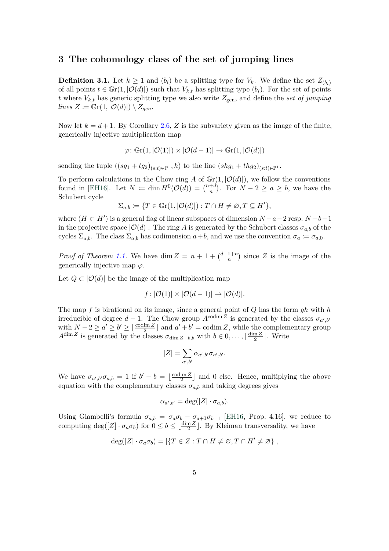### **3 The cohomology class of the set of jumping lines**

**Definition 3.1.** Let  $k \geq 1$  and  $(b_i)$  be a splitting type for  $V_k$ . We define the set  $Z_{(b_i)}$ of all points  $t \in \mathbb{G}r(1, |\mathcal{O}(d)|)$  such that  $V_{k,t}$  has splitting type  $(b_i)$ . For the set of points *t* where  $V_{k,t}$  has generic splitting type we also write  $Z_{gen}$ , and define the *set of jumping*  $lines Z := \mathbb{G}\mathrm{r}(1, |\mathcal{O}(d)|) \setminus Z_{gen}$ .

Now let  $k = d + 1$ . By Corollary [2.6,](#page-3-1) Z is the subvariety given as the image of the finite, generically injective multiplication map

$$
\varphi \colon \mathbb{G}\mathrm{r}(1, |\mathcal{O}(1)|) \times |\mathcal{O}(d-1)| \to \mathbb{G}\mathrm{r}(1, |\mathcal{O}(d)|)
$$

sending the tuple  $((sg_1 + tg_2)_{(s,t)\in\mathbb{P}^1}, h)$  to the line  $(shg_1 + thg_2)_{(s,t)\in\mathbb{P}^1}$ .

To perform calculations in the Chow ring *A* of  $\mathbb{G}r(1, |\mathcal{O}(d)|)$ , we follow the conventions found in [\[EH16\]](#page-7-4). Let  $N := \dim H^0(\mathcal{O}(d)) = \binom{n+d}{n}$ . For  $N - 2 \ge a \ge b$ , we have the Schubert cycle

$$
\Sigma_{a,b} := \{ T \in \mathbb{G}r(1, |\mathcal{O}(d)|) : T \cap H \neq \emptyset, T \subseteq H' \},\
$$

where  $(H \subset H')$  is a general flag of linear subspaces of dimension  $N - a - 2$  resp.  $N - b - 1$ in the projective space  $|O(d)|$ . The ring *A* is generated by the Schubert classes  $\sigma_{a,b}$  of the cycles  $\Sigma_{a,b}$ . The class  $\Sigma_{a,b}$  has codimension  $a+b$ , and we use the convention  $\sigma_a := \sigma_{a,0}$ .

*Proof of Theorem [1.1.](#page-1-0)* We have dim  $Z = n + 1 + {d-1+n \choose n}$  since Z is the image of the generically injective map  $\varphi$ .

Let  $Q \subset |O(d)|$  be the image of the multiplication map

$$
f: |\mathcal{O}(1)| \times |\mathcal{O}(d-1)| \to |\mathcal{O}(d)|.
$$

The map *f* is birational on its image, since a general point of *Q* has the form *gh* with *h* irreducible of degree  $d-1$ . The Chow group  $A^{\text{codim }Z}$  is generated by the classes  $\sigma_{a',b'}$ with  $N-2 \ge a' \ge b' \ge \lfloor \frac{\operatorname{codim} Z}{2} \rfloor$  and  $a' + b' = \operatorname{codim} Z$ , while the complementary group  $A^{\dim Z}$  is generated by the classes  $\sigma_{\dim Z-b,b}$  with  $b \in 0, \ldots, \lfloor \frac{\dim Z}{2} \rfloor$  $\frac{\mathfrak{m}\mathfrak{L}}{2}$ . Write

$$
[Z] = \sum_{a',b'} \alpha_{a',b'} \sigma_{a',b'}.
$$

We have  $\sigma_{a',b'}\sigma_{a,b} = 1$  if  $b' - b = \lfloor \frac{\operatorname{codim} Z}{2} \rfloor$  $\frac{\text{Im }Z}{2}$  and 0 else. Hence, multiplying the above equation with the complementary classes  $\sigma_{a,b}$  and taking degrees gives

$$
\alpha_{a',b'} = \deg([Z] \cdot \sigma_{a,b}).
$$

Using Giambelli's formula  $\sigma_{a,b} = \sigma_a \sigma_b - \sigma_{a+1} \sigma_{b-1}$  [\[EH16,](#page-7-4) Prop. 4.16], we reduce to computing  $\deg([Z] \cdot \sigma_a \sigma_b)$  for  $0 \le b \le \lfloor \frac{\dim Z}{2} \rfloor$ . By Kleiman transversality, we have

$$
\deg([Z]\cdot \sigma_a\sigma_b)=|\{T\in Z: T\cap H\neq \varnothing, T\cap H'\neq \varnothing\}|,
$$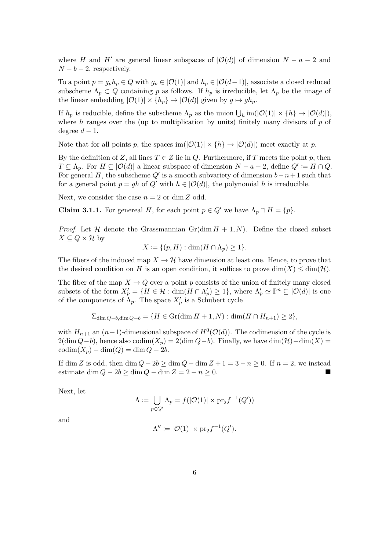where *H* and *H'* are general linear subspaces of  $|\mathcal{O}(d)|$  of dimension  $N - a - 2$  and  $N - b - 2$ , respectively.

To a point  $p = g_p h_p \in Q$  with  $g_p \in |O(1)|$  and  $h_p \in |O(d-1)|$ , associate a closed reduced subscheme  $\Lambda_p \subset Q$  containing *p* as follows. If  $h_p$  is irreducible, let  $\Lambda_p$  be the image of the linear embedding  $|\mathcal{O}(1)| \times \{h_p\} \to |\mathcal{O}(d)|$  given by  $g \mapsto gh_p$ .

If  $h_p$  is reducible, define the subscheme  $\Lambda_p$  as the union  $\bigcup_h \text{im}(|\mathcal{O}(1)| \times \{h\} \to |\mathcal{O}(d)|\)$ , where *h* ranges over the (up to multiplication by units) finitely many divisors of *p* of degree  $d-1$ .

Note that for all points *p*, the spaces im( $|O(1)| \times \{h\} \rightarrow |O(d)|$ ) meet exactly at *p*.

By the definition of *Z*, all lines  $T \in Z$  lie in *Q*. Furthermore, if *T* meets the point *p*, then *T* ⊆  $\Lambda_p$ . For *H* ⊆ |*O*(*d*)| a linear subspace of dimension *N* − *a* − 2, define  $Q' \cong H \cap Q$ . For general *H*, the subscheme  $Q'$  is a smooth subvariety of dimension  $b-n+1$  such that for a general point  $p = gh$  of  $Q'$  with  $h \in |O(d)|$ , the polynomial h is irreducible.

Next, we consider the case  $n = 2$  or dim Z odd.

**Claim 3.1.1.** For genereal *H*, for each point  $p \in Q'$  we have  $\Lambda_p \cap H = \{p\}.$ 

*Proof.* Let H denote the Grassmannian  $Gr(\dim H + 1, N)$ . Define the closed subset *X* ⊂  $Q \times$  *H* by

$$
X \coloneqq \{ (p, H) : \dim(H \cap \Lambda_p) \ge 1 \}.
$$

The fibers of the induced map  $X \to \mathcal{H}$  have dimension at least one. Hence, to prove that the desired condition on *H* is an open condition, it suffices to prove dim(*X*)  $\leq$  dim(*H*).

The fiber of the map  $X \to Q$  over a point p consists of the union of finitely many closed subsets of the form  $X'_p = \{H \in \mathcal{H} : \dim(H \cap \Lambda'_p) \geq 1\}$ , where  $\Lambda'_p \simeq \mathbb{P}^n \subseteq |\mathcal{O}(d)|$  is one of the components of  $\Lambda_p$ . The space  $X'_p$  is a Schubert cycle

$$
\Sigma_{\dim Q - b, \dim Q - b} = \{ H \in \operatorname{Gr}(\dim H + 1, N) : \dim (H \cap H_{n+1}) \ge 2 \},
$$

with  $H_{n+1}$  an  $(n+1)$ -dimensional subspace of  $H^0(\mathcal{O}(d))$ . The codimension of the cycle is  $2(\dim Q - b)$ , hence also codim $(X_p) = 2(\dim Q - b)$ . Finally, we have  $\dim(\mathcal{H}) - \dim(X) =$  $codim(X_p) - dim(Q) = dim Q - 2b.$ 

If dim *Z* is odd, then dim  $Q - 2b \ge \dim Q - \dim Z + 1 = 3 - n \ge 0$ . If  $n = 2$ , we instead estimate dim  $Q - 2b \ge \dim Q - \dim Z = 2 - n \ge 0$ .

Next, let

$$
\Lambda \coloneqq \bigcup_{p \in Q'} \Lambda_p = f(|\mathcal{O}(1)| \times \text{pr}_2 f^{-1}(Q'))
$$

and

$$
\Lambda'' \coloneqq |\mathcal{O}(1)| \times \text{pr}_2 f^{-1}(Q').
$$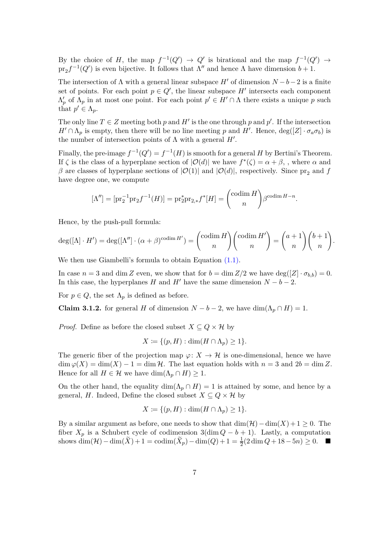By the choice of *H*, the map  $f^{-1}(Q') \to Q'$  is birational and the map  $f^{-1}(Q') \to$  $\text{pr}_2 f^{-1}(Q')$  is even bijective. It follows that  $\Lambda''$  and hence  $\Lambda$  have dimension  $b+1$ .

The intersection of  $\Lambda$  with a general linear subspace  $H'$  of dimension  $N-b-2$  is a finite set of points. For each point  $p \in Q'$ , the linear subspace  $H'$  intersects each component  $\Lambda'_p$  of  $\Lambda_p$  in at most one point. For each point  $p' \in H' \cap \Lambda$  there exists a unique p such that  $p' \in \Lambda_p$ .

The only line  $T \in \mathbb{Z}$  meeting both  $p$  and  $H'$  is the one through  $p$  and  $p'$ . If the intersection  $H' \cap \Lambda_p$  is empty, then there will be no line meeting *p* and *H'*. Hence,  $deg([Z] \cdot \sigma_a \sigma_b)$  is the number of intersection points of  $\Lambda$  with a general  $H'$ .

Finally, the pre-image  $f^{-1}(Q') = f^{-1}(H)$  is smooth for a general *H* by Bertini's Theorem. If  $\zeta$  is the class of a hyperplane section of  $|\mathcal{O}(d)|$  we have  $f^*(\zeta) = \alpha + \beta$ , where  $\alpha$  and *β* are classes of hyperplane sections of  $|O(1)|$  and  $|O(d)|$ , respectively. Since pr<sub>2</sub> and *f* have degree one, we compute

$$
[\Lambda''] = [\mathrm{pr}_2^{-1} \mathrm{pr}_2 f^{-1}(H)] = \mathrm{pr}_2^* \mathrm{pr}_{2,*} f^*[H] = \binom{\mathrm{codim}\, H}{n} \beta^{\mathrm{codim}\, H - n}.
$$

Hence, by the push-pull formula:

$$
\deg([{\Lambda}] \cdot H') = \deg([{\Lambda}''] \cdot ({\alpha + \beta})^{\operatorname{codim} H'}) = {\operatorname{codim} H \choose n} {\operatorname{codim} H' \choose n} = {a+1 \choose n} {b+1 \choose n}.
$$

We then use Giambelli's formula to obtain Equation  $(1.1)$ .

In case  $n = 3$  and dim *Z* even, we show that for  $b = \dim Z/2$  we have  $\deg([Z] \cdot \sigma_{b,b}) = 0$ . In this case, the hyperplanes *H* and *H'* have the same dimension  $N - b - 2$ .

For  $p \in Q$ , the set  $\Lambda_p$  is defined as before.

**Claim 3.1.2.** for general *H* of dimension  $N - b - 2$ , we have dim( $\Lambda_p \cap H$ ) = 1.

*Proof.* Define as before the closed subset  $X \subseteq Q \times H$  by

$$
X \coloneqq \{ (p, H) : \dim(H \cap \Lambda_p) \ge 1 \}.
$$

The generic fiber of the projection map  $\varphi: X \to \mathcal{H}$  is one-dimensional, hence we have  $\dim \varphi(X) = \dim(X) - 1 = \dim \mathcal{H}$ . The last equation holds with  $n = 3$  and  $2b = \dim Z$ . Hence for all  $H \in \mathcal{H}$  we have  $\dim(\Lambda_p \cap H) \geq 1$ .

On the other hand, the equality  $\dim(\Lambda_p \cap H) = 1$  is attained by some, and hence by a general, *H*. Indeed, Define the closed subset  $X \subseteq Q \times H$  by

$$
X \coloneqq \{ (p, H) : \dim(H \cap \Lambda_p) \ge 1 \}.
$$

By a similar argument as before, one needs to show that  $\dim(\mathcal{H}) - \dim(X) + 1 \geq 0$ . The fiber  $X_p$  is a Schubert cycle of codimension  $3(\dim Q - b + 1)$ . Lastly, a computation shows  $\dim(\mathcal{H}) - \dim(\tilde{X}) + 1 = \text{codim}(\tilde{X}_p) - \dim(Q) + 1 = \frac{1}{2}(2\dim Q + 18 - 5n) \ge 0.$  ■